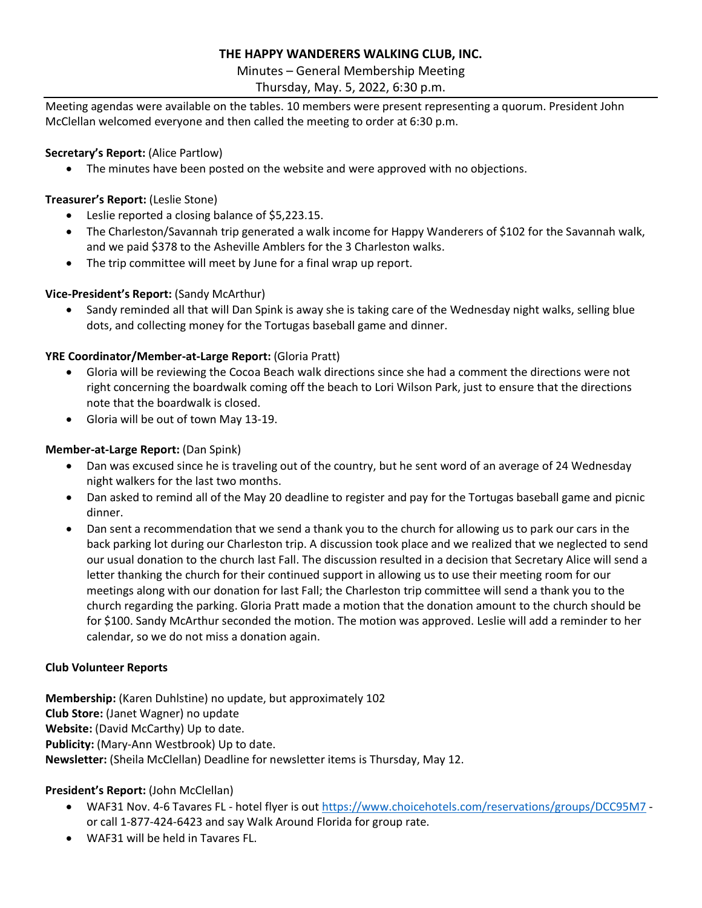# **THE HAPPY WANDERERS WALKING CLUB, INC.**

Minutes – General Membership Meeting

# Thursday, May. 5, 2022, 6:30 p.m.

Meeting agendas were available on the tables. 10 members were present representing a quorum. President John McClellan welcomed everyone and then called the meeting to order at 6:30 p.m.

## **Secretary's Report:** (Alice Partlow)

• The minutes have been posted on the website and were approved with no objections.

# **Treasurer's Report:** (Leslie Stone)

- Leslie reported a closing balance of \$5,223.15.
- The Charleston/Savannah trip generated a walk income for Happy Wanderers of \$102 for the Savannah walk, and we paid \$378 to the Asheville Amblers for the 3 Charleston walks.
- The trip committee will meet by June for a final wrap up report.

# **Vice-President's Report:** (Sandy McArthur)

• Sandy reminded all that will Dan Spink is away she is taking care of the Wednesday night walks, selling blue dots, and collecting money for the Tortugas baseball game and dinner.

# **YRE Coordinator/Member-at-Large Report:** (Gloria Pratt)

- Gloria will be reviewing the Cocoa Beach walk directions since she had a comment the directions were not right concerning the boardwalk coming off the beach to Lori Wilson Park, just to ensure that the directions note that the boardwalk is closed.
- Gloria will be out of town May 13-19.

## **Member-at-Large Report:** (Dan Spink)

- Dan was excused since he is traveling out of the country, but he sent word of an average of 24 Wednesday night walkers for the last two months.
- Dan asked to remind all of the May 20 deadline to register and pay for the Tortugas baseball game and picnic dinner.
- Dan sent a recommendation that we send a thank you to the church for allowing us to park our cars in the back parking lot during our Charleston trip. A discussion took place and we realized that we neglected to send our usual donation to the church last Fall. The discussion resulted in a decision that Secretary Alice will send a letter thanking the church for their continued support in allowing us to use their meeting room for our meetings along with our donation for last Fall; the Charleston trip committee will send a thank you to the church regarding the parking. Gloria Pratt made a motion that the donation amount to the church should be for \$100. Sandy McArthur seconded the motion. The motion was approved. Leslie will add a reminder to her calendar, so we do not miss a donation again.

#### **Club Volunteer Reports**

**Membership:** (Karen Duhlstine) no update, but approximately 102 **Club Store:** (Janet Wagner) no update **Website:** (David McCarthy) Up to date. **Publicity:** (Mary-Ann Westbrook) Up to date. **Newsletter:** (Sheila McClellan) Deadline for newsletter items is Thursday, May 12.

# **President's Report:** (John McClellan)

- WAF31 Nov. 4-6 Tavares FL hotel flyer is out<https://www.choicehotels.com/reservations/groups/DCC95M7> or call 1-877-424-6423 and say Walk Around Florida for group rate.
- WAF31 will be held in Tavares FL.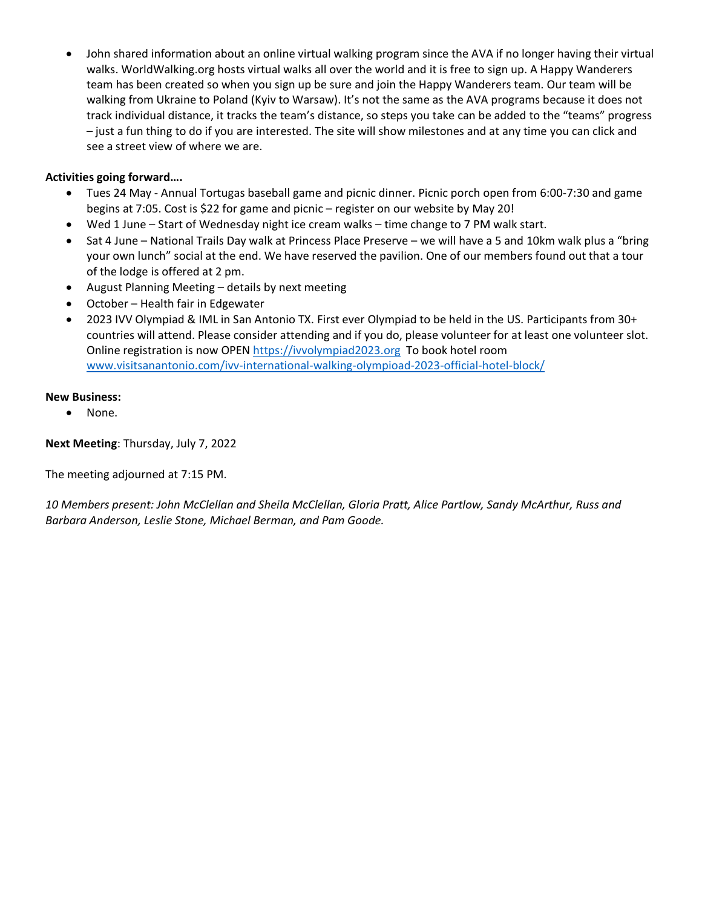• John shared information about an online virtual walking program since the AVA if no longer having their virtual walks. WorldWalking.org hosts virtual walks all over the world and it is free to sign up. A Happy Wanderers team has been created so when you sign up be sure and join the Happy Wanderers team. Our team will be walking from Ukraine to Poland (Kyiv to Warsaw). It's not the same as the AVA programs because it does not track individual distance, it tracks the team's distance, so steps you take can be added to the "teams" progress – just a fun thing to do if you are interested. The site will show milestones and at any time you can click and see a street view of where we are.

## **Activities going forward….**

- Tues 24 May Annual Tortugas baseball game and picnic dinner. Picnic porch open from 6:00-7:30 and game begins at 7:05. Cost is \$22 for game and picnic – register on our website by May 20!
- Wed 1 June Start of Wednesday night ice cream walks time change to 7 PM walk start.
- Sat 4 June National Trails Day walk at Princess Place Preserve we will have a 5 and 10km walk plus a "bring your own lunch" social at the end. We have reserved the pavilion. One of our members found out that a tour of the lodge is offered at 2 pm.
- August Planning Meeting details by next meeting
- October Health fair in Edgewater
- 2023 IVV Olympiad & IML in San Antonio TX. First ever Olympiad to be held in the US. Participants from 30+ countries will attend. Please consider attending and if you do, please volunteer for at least one volunteer slot. Online registration is now OPEN [https://ivvolympiad2023.org](https://ivvolympiad2023.org/) To book hotel room [www.visitsanantonio.com/ivv-international-walking-olympioad-2023-official-hotel-block/](http://www.visitsanantonio.com/ivv-international-walking-olympioad-2023-official-hotel-block/)

#### **New Business:**

• None.

**Next Meeting**: Thursday, July 7, 2022

The meeting adjourned at 7:15 PM.

*10 Members present: John McClellan and Sheila McClellan, Gloria Pratt, Alice Partlow, Sandy McArthur, Russ and Barbara Anderson, Leslie Stone, Michael Berman, and Pam Goode.*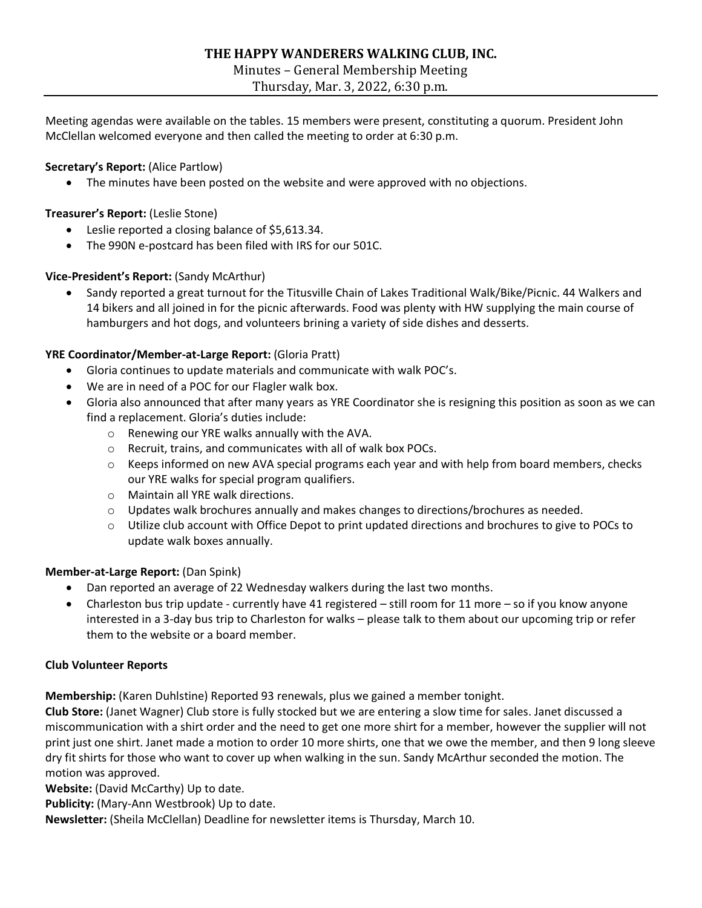# **THE HAPPY WANDERERS WALKING CLUB, INC.**

Minutes – General Membership Meeting

Thursday, Mar. 3, 2022, 6:30 p.m.

Meeting agendas were available on the tables. 15 members were present, constituting a quorum. President John McClellan welcomed everyone and then called the meeting to order at 6:30 p.m.

# **Secretary's Report:** (Alice Partlow)

• The minutes have been posted on the website and were approved with no objections.

## **Treasurer's Report:** (Leslie Stone)

- Leslie reported a closing balance of \$5,613.34.
- The 990N e-postcard has been filed with IRS for our 501C.

## **Vice-President's Report:** (Sandy McArthur)

• Sandy reported a great turnout for the Titusville Chain of Lakes Traditional Walk/Bike/Picnic. 44 Walkers and 14 bikers and all joined in for the picnic afterwards. Food was plenty with HW supplying the main course of hamburgers and hot dogs, and volunteers brining a variety of side dishes and desserts.

## **YRE Coordinator/Member-at-Large Report:** (Gloria Pratt)

- Gloria continues to update materials and communicate with walk POC's.
- We are in need of a POC for our Flagler walk box.
- Gloria also announced that after many years as YRE Coordinator she is resigning this position as soon as we can find a replacement. Gloria's duties include:
	- o Renewing our YRE walks annually with the AVA.
	- o Recruit, trains, and communicates with all of walk box POCs.
	- $\circ$  Keeps informed on new AVA special programs each year and with help from board members, checks our YRE walks for special program qualifiers.
	- o Maintain all YRE walk directions.
	- o Updates walk brochures annually and makes changes to directions/brochures as needed.
	- $\circ$  Utilize club account with Office Depot to print updated directions and brochures to give to POCs to update walk boxes annually.

# **Member-at-Large Report:** (Dan Spink)

- Dan reported an average of 22 Wednesday walkers during the last two months.
- Charleston bus trip update currently have 41 registered still room for 11 more so if you know anyone interested in a 3-day bus trip to Charleston for walks – please talk to them about our upcoming trip or refer them to the website or a board member.

#### **Club Volunteer Reports**

**Membership:** (Karen Duhlstine) Reported 93 renewals, plus we gained a member tonight.

**Club Store:** (Janet Wagner) Club store is fully stocked but we are entering a slow time for sales. Janet discussed a miscommunication with a shirt order and the need to get one more shirt for a member, however the supplier will not print just one shirt. Janet made a motion to order 10 more shirts, one that we owe the member, and then 9 long sleeve dry fit shirts for those who want to cover up when walking in the sun. Sandy McArthur seconded the motion. The motion was approved.

**Website:** (David McCarthy) Up to date.

**Publicity:** (Mary-Ann Westbrook) Up to date.

**Newsletter:** (Sheila McClellan) Deadline for newsletter items is Thursday, March 10.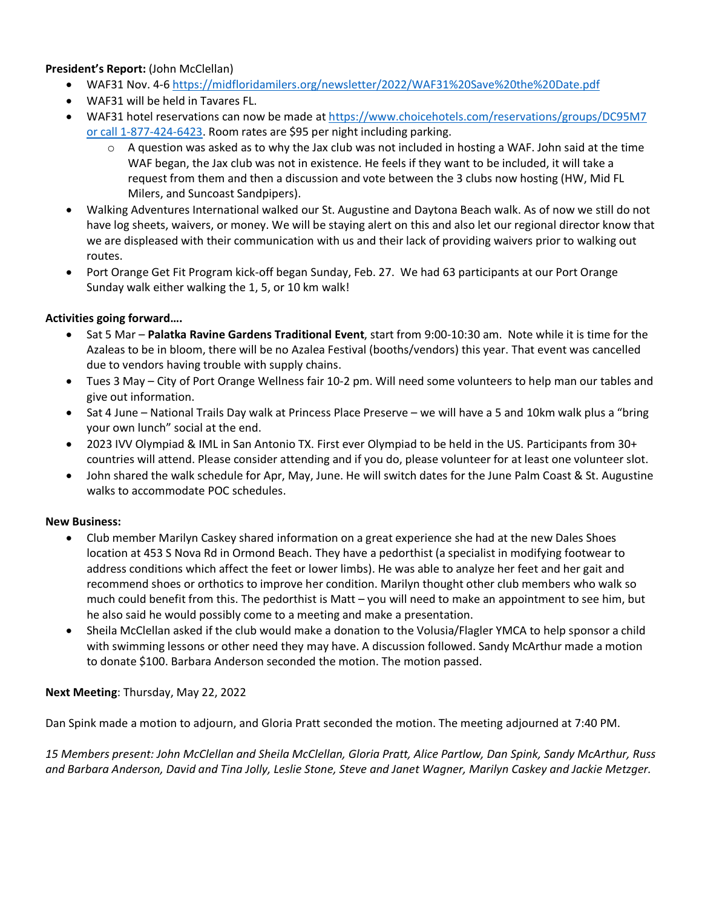## **President's Report:** (John McClellan)

- WAF31 Nov. 4-[6 https://midfloridamilers.org/newsletter/2022/WAF31%20Save%20the%20Date.pdf](https://midfloridamilers.org/newsletter/2022/WAF31%20Save%20the%20Date.pdf)
- WAF31 will be held in Tavares FL.
- WAF31 hotel reservations can now be made at [https://www.choicehotels.com/reservations/groups/DC95M7](https://www.choicehotels.com/reservations/groups/DC95M7%20or%20call%201-877-424-6423)  [or call 1-877-424-6423.](https://www.choicehotels.com/reservations/groups/DC95M7%20or%20call%201-877-424-6423) Room rates are \$95 per night including parking.
	- $\circ$  A question was asked as to why the Jax club was not included in hosting a WAF. John said at the time WAF began, the Jax club was not in existence. He feels if they want to be included, it will take a request from them and then a discussion and vote between the 3 clubs now hosting (HW, Mid FL Milers, and Suncoast Sandpipers).
- Walking Adventures International walked our St. Augustine and Daytona Beach walk. As of now we still do not have log sheets, waivers, or money. We will be staying alert on this and also let our regional director know that we are displeased with their communication with us and their lack of providing waivers prior to walking out routes.
- Port Orange Get Fit Program kick-off began Sunday, Feb. 27. We had 63 participants at our Port Orange Sunday walk either walking the 1, 5, or 10 km walk!

## **Activities going forward….**

- Sat 5 Mar **Palatka Ravine Gardens Traditional Event**, start from 9:00-10:30 am. Note while it is time for the Azaleas to be in bloom, there will be no Azalea Festival (booths/vendors) this year. That event was cancelled due to vendors having trouble with supply chains.
- Tues 3 May City of Port Orange Wellness fair 10-2 pm. Will need some volunteers to help man our tables and give out information.
- Sat 4 June National Trails Day walk at Princess Place Preserve we will have a 5 and 10km walk plus a "bring your own lunch" social at the end.
- 2023 IVV Olympiad & IML in San Antonio TX. First ever Olympiad to be held in the US. Participants from 30+ countries will attend. Please consider attending and if you do, please volunteer for at least one volunteer slot.
- John shared the walk schedule for Apr, May, June. He will switch dates for the June Palm Coast & St. Augustine walks to accommodate POC schedules.

#### **New Business:**

- Club member Marilyn Caskey shared information on a great experience she had at the new Dales Shoes location at 453 S Nova Rd in Ormond Beach. They have a pedorthist (a specialist in modifying footwear to address conditions which affect the feet or lower limbs). He was able to analyze her feet and her gait and recommend shoes or orthotics to improve her condition. Marilyn thought other club members who walk so much could benefit from this. The pedorthist is Matt – you will need to make an appointment to see him, but he also said he would possibly come to a meeting and make a presentation.
- Sheila McClellan asked if the club would make a donation to the Volusia/Flagler YMCA to help sponsor a child with swimming lessons or other need they may have. A discussion followed. Sandy McArthur made a motion to donate \$100. Barbara Anderson seconded the motion. The motion passed.

#### **Next Meeting**: Thursday, May 22, 2022

Dan Spink made a motion to adjourn, and Gloria Pratt seconded the motion. The meeting adjourned at 7:40 PM.

*15 Members present: John McClellan and Sheila McClellan, Gloria Pratt, Alice Partlow, Dan Spink, Sandy McArthur, Russ and Barbara Anderson, David and Tina Jolly, Leslie Stone, Steve and Janet Wagner, Marilyn Caskey and Jackie Metzger.*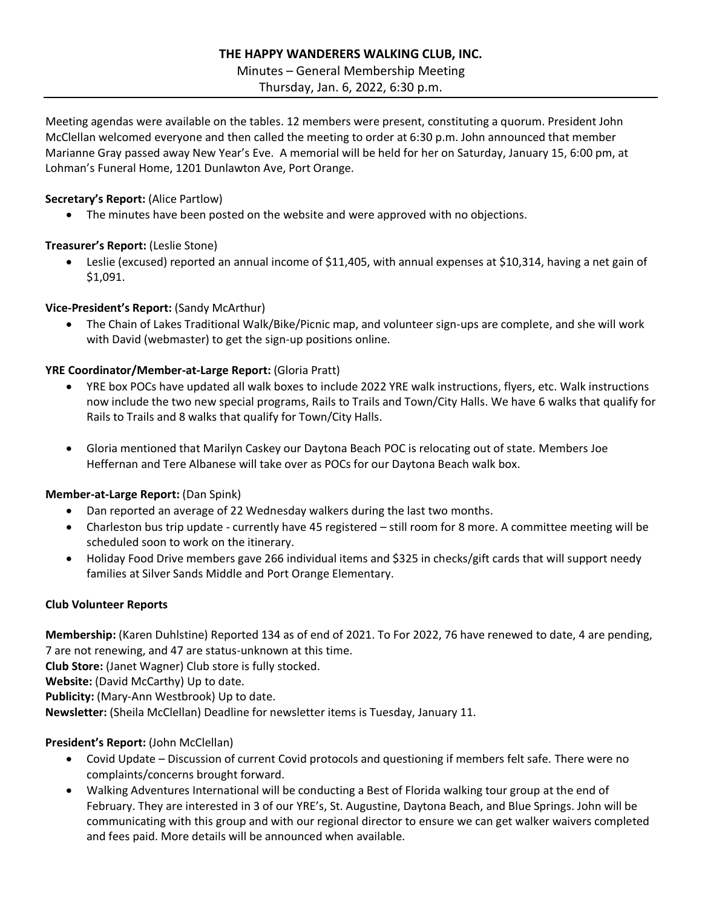# **THE HAPPY WANDERERS WALKING CLUB, INC.**

#### Minutes – General Membership Meeting

Thursday, Jan. 6, 2022, 6:30 p.m.

Meeting agendas were available on the tables. 12 members were present, constituting a quorum. President John McClellan welcomed everyone and then called the meeting to order at 6:30 p.m. John announced that member Marianne Gray passed away New Year's Eve. A memorial will be held for her on Saturday, January 15, 6:00 pm, at Lohman's Funeral Home, 1201 Dunlawton Ave, Port Orange.

## **Secretary's Report:** (Alice Partlow)

• The minutes have been posted on the website and were approved with no objections.

# **Treasurer's Report:** (Leslie Stone)

• Leslie (excused) reported an annual income of \$11,405, with annual expenses at \$10,314, having a net gain of \$1,091.

# **Vice-President's Report:** (Sandy McArthur)

• The Chain of Lakes Traditional Walk/Bike/Picnic map, and volunteer sign-ups are complete, and she will work with David (webmaster) to get the sign-up positions online.

# **YRE Coordinator/Member-at-Large Report:** (Gloria Pratt)

- YRE box POCs have updated all walk boxes to include 2022 YRE walk instructions, flyers, etc. Walk instructions now include the two new special programs, Rails to Trails and Town/City Halls. We have 6 walks that qualify for Rails to Trails and 8 walks that qualify for Town/City Halls.
- Gloria mentioned that Marilyn Caskey our Daytona Beach POC is relocating out of state. Members Joe Heffernan and Tere Albanese will take over as POCs for our Daytona Beach walk box.

# **Member-at-Large Report:** (Dan Spink)

- Dan reported an average of 22 Wednesday walkers during the last two months.
- Charleston bus trip update currently have 45 registered still room for 8 more. A committee meeting will be scheduled soon to work on the itinerary.
- Holiday Food Drive members gave 266 individual items and \$325 in checks/gift cards that will support needy families at Silver Sands Middle and Port Orange Elementary.

# **Club Volunteer Reports**

**Membership:** (Karen Duhlstine) Reported 134 as of end of 2021. To For 2022, 76 have renewed to date, 4 are pending, 7 are not renewing, and 47 are status-unknown at this time.

**Club Store:** (Janet Wagner) Club store is fully stocked.

**Website:** (David McCarthy) Up to date.

**Publicity:** (Mary-Ann Westbrook) Up to date.

**Newsletter:** (Sheila McClellan) Deadline for newsletter items is Tuesday, January 11.

# **President's Report:** (John McClellan)

- Covid Update Discussion of current Covid protocols and questioning if members felt safe. There were no complaints/concerns brought forward.
- Walking Adventures International will be conducting a Best of Florida walking tour group at the end of February. They are interested in 3 of our YRE's, St. Augustine, Daytona Beach, and Blue Springs. John will be communicating with this group and with our regional director to ensure we can get walker waivers completed and fees paid. More details will be announced when available.